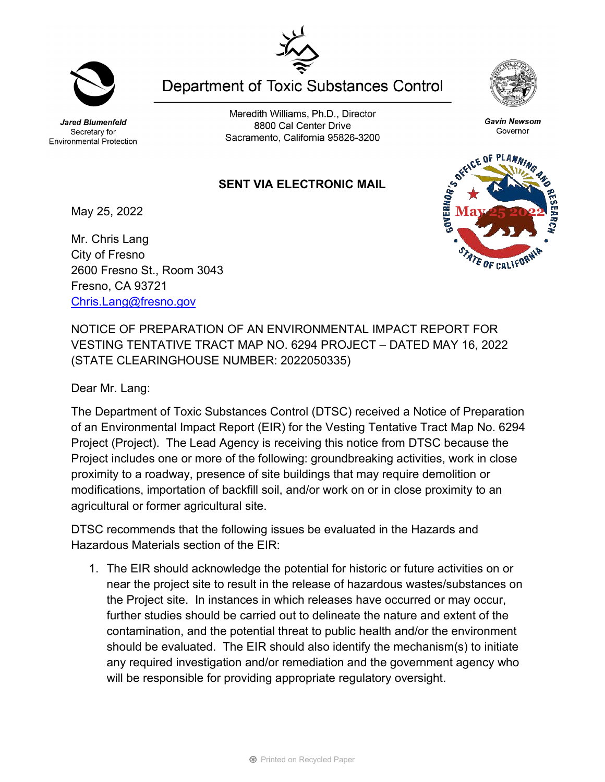Jared Blumenfeld Secretary for Environmental Protection

Meredith Williams, Ph.D., Director 8800 Cal Center Drive Sacramento, California 95826-3200

**Department of Toxic Substances Control** 

## **SENT VIA ELECTRONIC MAIL**

May 25, 2022

Mr. Chris Lang City of Fresno 2600 Fresno St., Room 3043 Fresno, CA 93721 [Chris.Lang@fresno.gov](mailto:Chris.Lang@fresno.gov)

NOTICE OF PREPARATION OF AN ENVIRONMENTAL IMPACT REPORT FOR VESTING TENTATIVE TRACT MAP NO. 6294 PROJECT – DATED MAY 16, 2022 (STATE CLEARINGHOUSE NUMBER: 2022050335)

Dear Mr. Lang:

The Department of Toxic Substances Control (DTSC) received a Notice of Preparation of an Environmental Impact Report (EIR) for the Vesting Tentative Tract Map No. 6294 Project (Project). The Lead Agency is receiving this notice from DTSC because the Project includes one or more of the following: groundbreaking activities, work in close proximity to a roadway, presence of site buildings that may require demolition or modifications, importation of backfill soil, and/or work on or in close proximity to an agricultural or former agricultural site.

DTSC recommends that the following issues be evaluated in the Hazards and Hazardous Materials section of the EIR:

1. The EIR should acknowledge the potential for historic or future activities on or near the project site to result in the release of hazardous wastes/substances on the Project site. In instances in which releases have occurred or may occur, further studies should be carried out to delineate the nature and extent of the contamination, and the potential threat to public health and/or the environment should be evaluated. The EIR should also identify the mechanism(s) to initiate any required investigation and/or remediation and the government agency who will be responsible for providing appropriate regulatory oversight.



OF CALIF



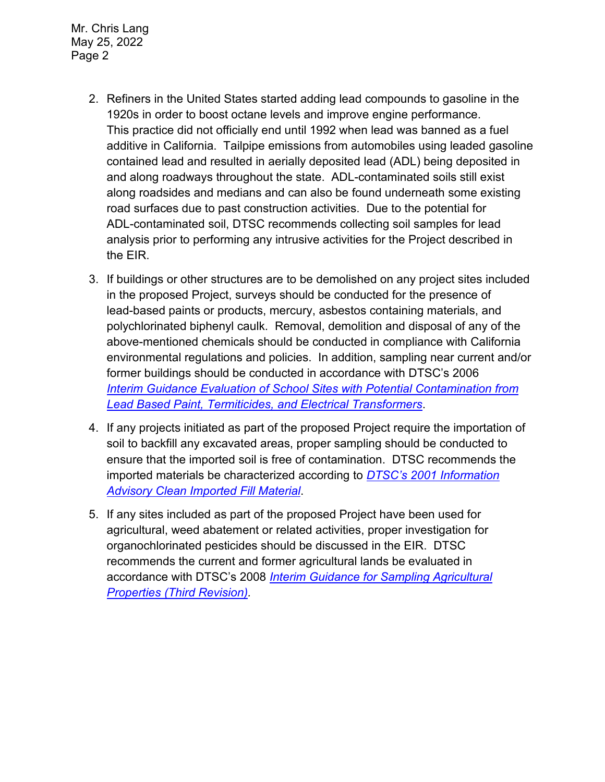Mr. Chris Lang May 25, 2022 Page 2

- 2. Refiners in the United States started adding lead compounds to gasoline in the 1920s in order to boost octane levels and improve engine performance. This practice did not officially end until 1992 when lead was banned as a fuel additive in California. Tailpipe emissions from automobiles using leaded gasoline contained lead and resulted in aerially deposited lead (ADL) being deposited in and along roadways throughout the state. ADL-contaminated soils still exist along roadsides and medians and can also be found underneath some existing road surfaces due to past construction activities. Due to the potential for ADL-contaminated soil, DTSC recommends collecting soil samples for lead analysis prior to performing any intrusive activities for the Project described in the EIR.
- 3. If buildings or other structures are to be demolished on any project sites included in the proposed Project, surveys should be conducted for the presence of lead-based paints or products, mercury, asbestos containing materials, and polychlorinated biphenyl caulk. Removal, demolition and disposal of any of the above-mentioned chemicals should be conducted in compliance with California environmental regulations and policies. In addition, sampling near current and/or former buildings should be conducted in accordance with DTSC's 2006 *Interim [Guidance Evaluation of School Sites with Potential Contamination from](https://dtsc.ca.gov/2020/04/17/document-request/?wpf337186_14=https://dtsc.ca.gov/wpcontent/uploads/sites/31/2018/09/Guidance_Lead_%20%20Contamination_050118.pdf)  [Lead Based Paint, Termiticides, and Electrical Transformers](https://dtsc.ca.gov/2020/04/17/document-request/?wpf337186_14=https://dtsc.ca.gov/wpcontent/uploads/sites/31/2018/09/Guidance_Lead_%20%20Contamination_050118.pdf)*.
- 4. If any projects initiated as part of the proposed Project require the importation of soil to backfill any excavated areas, proper sampling should be conducted to ensure that the imported soil is free of contamination. DTSC recommends the imported materials be characterized according to *[DTSC's 2001 Information](https://dtsc.ca.gov/wp-content/uploads/sites/31/2018/09/SMP_FS_Cleanfill-Schools.pdf)  [Advisory Clean Imported Fill Material](https://dtsc.ca.gov/wp-content/uploads/sites/31/2018/09/SMP_FS_Cleanfill-Schools.pdf)*.
- 5. If any sites included as part of the proposed Project have been used for agricultural, weed abatement or related activities, proper investigation for organochlorinated pesticides should be discussed in the EIR. DTSC recommends the current and former agricultural lands be evaluated in accordance with DTSC's 2008 *[Interim Guidance for Sampling Agricultural](https://dtsc.ca.gov/wp-content/uploads/sites/31/2018/09/Ag-Guidance-Rev-3-August-7-2008-2.pdf)  [Properties \(Third Revision\).](https://dtsc.ca.gov/wp-content/uploads/sites/31/2018/09/Ag-Guidance-Rev-3-August-7-2008-2.pdf)*